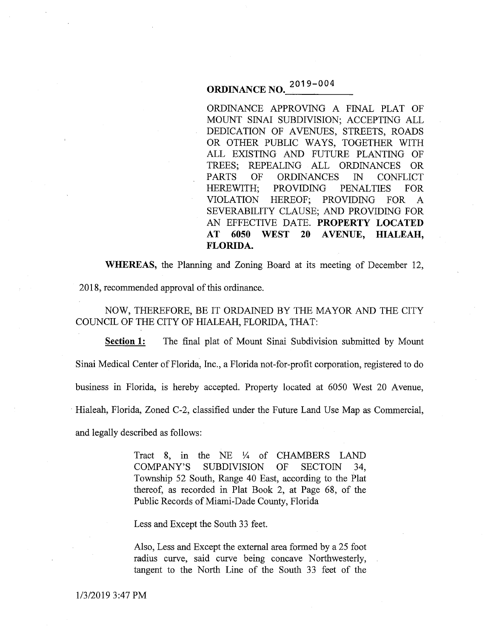# **ORDINANCE NO.** 2019-004

ORDINANCE APPROVING A FINAL PLAT OF MOUNT SINAI SUBDIVISION; ACCEPTING ALL DEDICATION OF AVENUES, STREETS, ROADS OR OTHER PUBLIC WAYS, TOGETHER WITH ALL EXISTING AND FUTURE PLANTING OF TREES; REPEALING ALL ORDINANCES OR PARTS OF ORDINANCES IN CONFLICT HEREWITH; PROVIDING PENALTIES FOR VIOLATION HEREOF; PROVIDING FOR A SEVERABILITY CLAUSE; AND PROVIDING FOR AN EFFECTIVE DATE. **PROPERTY LOCATED AT 6050 WEST 20 A VENUE, HIALEAH, FLORIDA.** 

**WHEREAS,** the Planning and Zoning Board at its meeting of December 12, 2018, recommended approval of this ordinance.

NOW, THEREFORE, BE IT ORDAINED BY THE MAYOR AND THE CITY COUNCIL OF THE CITY OF HIALEAH, FLORIDA, THAT:

**Section 1:** The final plat of Mount Sinai Subdivision submitted by Mount Sinai Medical Center of Florida, Inc., a Florida not-for-profit corporation, registered to do business in Florida, is hereby accepted. Property located at 6050 West 20 Avenue, Hialeah, Florida, Zoned C-2, classified under the Future Land Use Map as Commercial, and legally described as follows:

> Tract 8, in the NE *14* of CHAMBERS LAND COMPANY'S SUBDIVISION OF SECTOIN 34, Township 52 South, Range 40 East, according to the Plat thereof, as recorded in Plat Book 2, at Page 68, of the Public Records of Miami-Dade County, Florida

Less and Except the South 33 feet.

Also, Less and Except the external area formed by a 25 foot radius curve, said curve being concave Northwesterly, tangent to the North Line of the South 33 feet of the

1/3/2019 3:47PM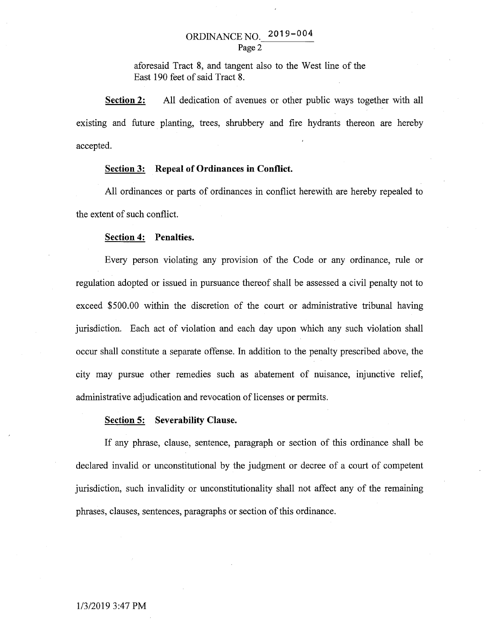## ORDINANCE NO. **2019-004**  Page 2

aforesaid Tract 8, and tangent also to the West line of the East 190 feet of said Tract 8.

**Section 2:** All dedication of avenues or other public ways together with all existing and future planting, trees, shrubbery and fire hydrants thereon are hereby accepted.

#### **Section 3: Repeal of Ordinances in Conflict.**

All ordinances or parts of ordinances in conflict herewith are hereby repealed to the extent of such conflict.

#### **Section 4: Penalties.**

Every person violating any provision of the Code or any ordinance, rule or regulation adopted or issued in pursuance thereof shall be assessed a civil penalty not to exceed \$500.00 within the discretion of the court or administrative tribunal having jurisdiction. Each act of violation and each day upon which any such violation shall occur shall constitute a separate offense. In addition to the penalty prescribed above, the city may pursue other remedies such as abatement of nuisance, injunctive relief, administrative adjudication and revocation of licenses or permits.

#### **Section 5: Severability Clause.**

If any phrase, clause, sentence, paragraph or section of this ordinance shall be declared invalid or unconstitutional by the judgment or decree of a court of competent jurisdiction, such invalidity or unconstitutionality shall not affect any of the remaining phrases, clauses, sentences, paragraphs or section of this ordinance.